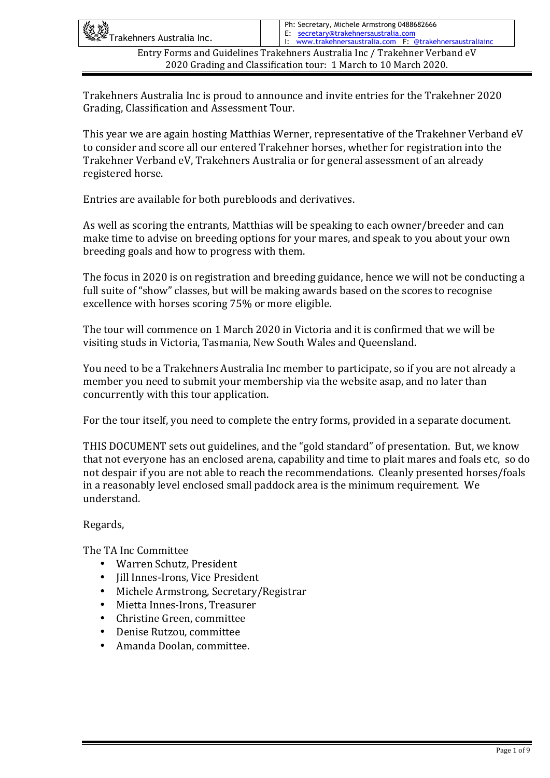| 《红燈<br>《经》Trakehners Australia Inc.                                        | Ph: Secretary, Michele Armstrong 0488682666<br>E: secretary@trakehnersaustralia.com<br>I: www.trakehnersaustralia.com F: @trakehnersaustraliainc |
|----------------------------------------------------------------------------|--------------------------------------------------------------------------------------------------------------------------------------------------|
| Entry Forms and Guidelines Trakehners Australia Inc / Trakehner Verband eV |                                                                                                                                                  |
| 2020 Grading and Classification tour: 1 March to 10 March 2020.            |                                                                                                                                                  |

Trakehners Australia Inc is proud to announce and invite entries for the Trakehner 2020 Grading, Classification and Assessment Tour.

This year we are again hosting Matthias Werner, representative of the Trakehner Verband eV to consider and score all our entered Trakehner horses, whether for registration into the Trakehner Verband eV, Trakehners Australia or for general assessment of an already registered horse.

Entries are available for both purebloods and derivatives.

As well as scoring the entrants, Matthias will be speaking to each owner/breeder and can make time to advise on breeding options for your mares, and speak to you about your own breeding goals and how to progress with them.

The focus in 2020 is on registration and breeding guidance, hence we will not be conducting a full suite of "show" classes, but will be making awards based on the scores to recognise excellence with horses scoring 75% or more eligible.

The tour will commence on 1 March 2020 in Victoria and it is confirmed that we will be visiting studs in Victoria, Tasmania, New South Wales and Oueensland.

You need to be a Trakehners Australia Inc member to participate, so if you are not already a member you need to submit your membership via the website asap, and no later than concurrently with this tour application.

For the tour itself, you need to complete the entry forms, provided in a separate document.

THIS DOCUMENT sets out guidelines, and the "gold standard" of presentation. But, we know that not everyone has an enclosed arena, capability and time to plait mares and foals etc, so do not despair if you are not able to reach the recommendations. Cleanly presented horses/foals in a reasonably level enclosed small paddock area is the minimum requirement. We understand. 

#### Regards,

The TA Inc Committee

- Warren Schutz, President
- Jill Innes-Irons, Vice President
- Michele Armstrong, Secretary/Registrar
- Mietta Innes-Irons, Treasurer
- Christine Green, committee
- Denise Rutzou, committee
- Amanda Doolan, committee.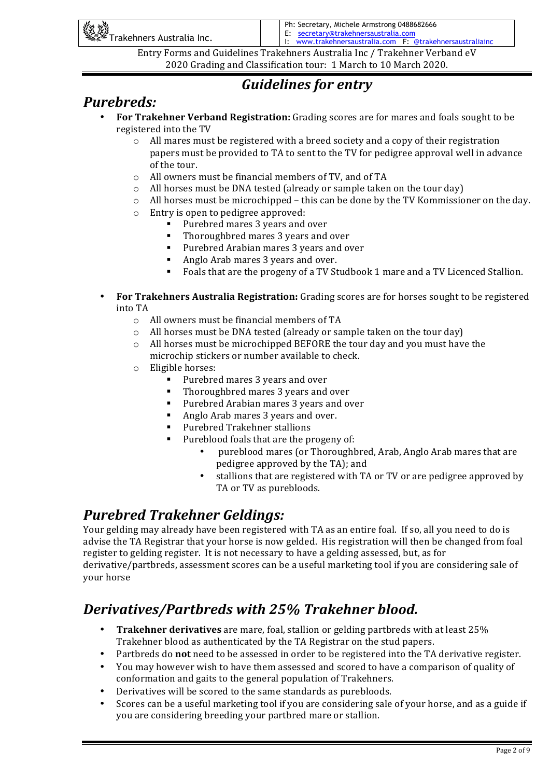| <b>Kit till</b><br>See Trakehners Australia Inc. | Ph: Secretary, Michele Armstrong 0488682666<br>E: secretary@trakehnersaustralia.com<br>I: www.trakehnersaustralia.com F: @trakehnersaustraliainc |
|--------------------------------------------------|--------------------------------------------------------------------------------------------------------------------------------------------------|
|                                                  | Entry Forms and Guidelines Trakehners Australia Inc / Trakehner Verband eV                                                                       |

## *Guidelines for entry*

### *Purebreds:*

- **For Trakehner Verband Registration:** Grading scores are for mares and foals sought to be registered into the TV
	- $\circ$  All mares must be registered with a breed society and a copy of their registration papers must be provided to TA to sent to the TV for pedigree approval well in advance of the tour.
	- o All owners must be financial members of TV, and of TA
	- $\circ$  All horses must be DNA tested (already or sample taken on the tour day)
	- $\circ$  All horses must be microchipped this can be done by the TV Kommissioner on the day.
	- $\circ$  Entry is open to pedigree approved:
		- Purebred mares 3 years and over
		- Thoroughbred mares 3 years and over
		- Purebred Arabian mares 3 years and over
		- Anglo Arab mares 3 years and over.
		- Foals that are the progeny of a TV Studbook 1 mare and a TV Licenced Stallion.
- **For Trakehners Australia Registration:** Grading scores are for horses sought to be registered into TA
	- $\circ$  All owners must be financial members of TA
	- $\circ$  All horses must be DNA tested (already or sample taken on the tour day)
	- $\circ$  All horses must be microchipped BEFORE the tour day and you must have the microchip stickers or number available to check.
	- $\circ$  Eligible horses:
		- Purebred mares 3 years and over
		- Thoroughbred mares 3 years and over
		- Purebred Arabian mares 3 years and over
		- Anglo Arab mares 3 years and over.
		- Purebred Trakehner stallions
		- Pureblood foals that are the progeny of:
			- pureblood mares (or Thoroughbred, Arab, Anglo Arab mares that are pedigree approved by the TA); and
			- stallions that are registered with TA or TV or are pedigree approved by TA or TV as purebloods.

## **Purebred Trakehner Geldings:**

Your gelding may already have been registered with TA as an entire foal. If so, all you need to do is advise the TA Registrar that your horse is now gelded. His registration will then be changed from foal register to gelding register. It is not necessary to have a gelding assessed, but, as for derivative/partbreds, assessment scores can be a useful marketing tool if you are considering sale of your horse

## *Derivatives/Partbreds with 25% Trakehner blood.*

- **Trakehner derivatives** are mare, foal, stallion or gelding partbreds with at least 25% Trakehner blood as authenticated by the TA Registrar on the stud papers.
- Partbreds do not need to be assessed in order to be registered into the TA derivative register.
- You may however wish to have them assessed and scored to have a comparison of quality of conformation and gaits to the general population of Trakehners.
- Derivatives will be scored to the same standards as purebloods.
- Scores can be a useful marketing tool if you are considering sale of your horse, and as a guide if you are considering breeding your partbred mare or stallion.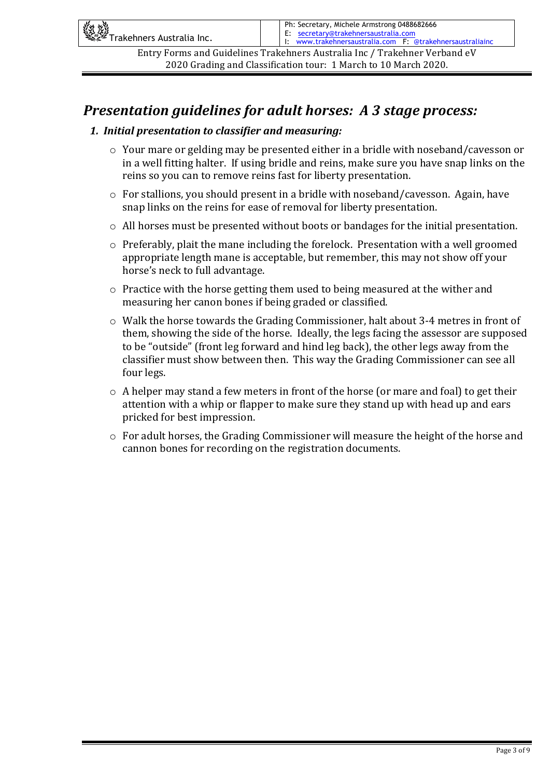| 《社义》<br>《学》Trakehners Australia Inc.                                       | Ph: Secretary, Michele Armstrong 0488682666<br>E: secretary@trakehnersaustralia.com<br>I: www.trakehnersaustralia.com F: @trakehnersaustraliainc |
|----------------------------------------------------------------------------|--------------------------------------------------------------------------------------------------------------------------------------------------|
| Entry Forms and Guidelines Trakehners Australia Inc / Trakehner Verband eV |                                                                                                                                                  |
| 2020 Grading and Classification tour: 1 March to 10 March 2020.            |                                                                                                                                                  |

### *Presentation guidelines for adult horses: A 3 stage process:*

#### *1. Initial presentation to classifier and measuring:*

- $\circ$  Your mare or gelding may be presented either in a bridle with noseband/cavesson or in a well fitting halter. If using bridle and reins, make sure you have snap links on the reins so you can to remove reins fast for liberty presentation.
- $\circ$  For stallions, you should present in a bridle with noseband/cavesson. Again, have snap links on the reins for ease of removal for liberty presentation.
- $\circ$  All horses must be presented without boots or bandages for the initial presentation.
- $\circ$  Preferably, plait the mane including the forelock. Presentation with a well groomed appropriate length mane is acceptable, but remember, this may not show off your horse's neck to full advantage.
- $\circ$  Practice with the horse getting them used to being measured at the wither and measuring her canon bones if being graded or classified.
- $\circ$  Walk the horse towards the Grading Commissioner, halt about 3-4 metres in front of them, showing the side of the horse. Ideally, the legs facing the assessor are supposed to be "outside" (front leg forward and hind leg back), the other legs away from the classifier must show between then. This way the Grading Commissioner can see all four legs.
- $\circ$  A helper may stand a few meters in front of the horse (or mare and foal) to get their attention with a whip or flapper to make sure they stand up with head up and ears pricked for best impression.
- $\circ$  For adult horses, the Grading Commissioner will measure the height of the horse and cannon bones for recording on the registration documents.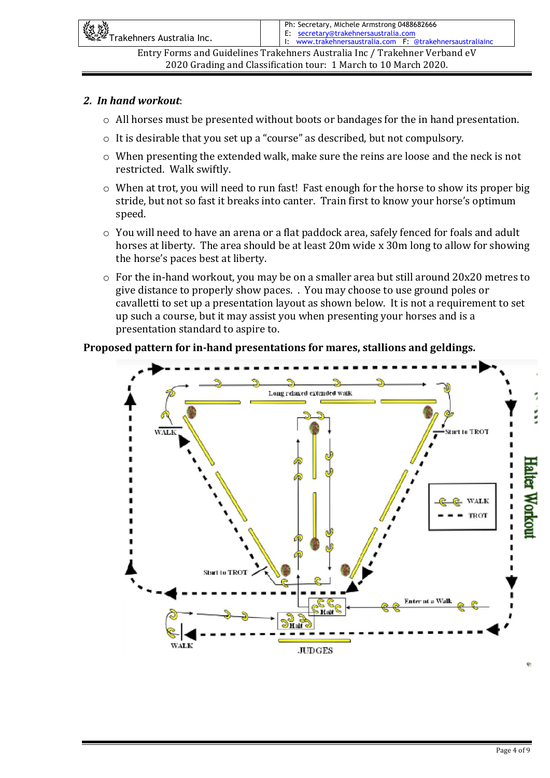| 《姓姓》<br>《经》Trakehners Australia Inc.                                       | Ph: Secretary, Michele Armstrong 0488682666<br>E: secretary@trakehnersaustralia.com<br>I: www.trakehnersaustralia.com F: @trakehnersaustraliainc |
|----------------------------------------------------------------------------|--------------------------------------------------------------------------------------------------------------------------------------------------|
| Entry Forms and Guidelines Trakehners Australia Inc / Trakehner Verband eV |                                                                                                                                                  |
| 2020 Grading and Classification tour: 1 March to 10 March 2020.            |                                                                                                                                                  |

#### *2. In hand workout*:

- $\circ$  All horses must be presented without boots or bandages for the in hand presentation.
- $\circ$  It is desirable that you set up a "course" as described, but not compulsory.
- $\circ$  When presenting the extended walk, make sure the reins are loose and the neck is not restricted. Walk swiftly.
- $\circ$  When at trot, you will need to run fast! Fast enough for the horse to show its proper big stride, but not so fast it breaks into canter. Train first to know your horse's optimum speed.
- $\circ$  You will need to have an arena or a flat paddock area, safely fenced for foals and adult horses at liberty. The area should be at least 20m wide x 30m long to allow for showing the horse's paces best at liberty.
- $\circ$  For the in-hand workout, you may be on a smaller area but still around 20x20 metres to give distance to properly show paces. . You may choose to use ground poles or cavalletti to set up a presentation layout as shown below. It is not a requirement to set up such a course, but it may assist you when presenting your horses and is a presentation standard to aspire to.

#### Proposed pattern for in-hand presentations for mares, stallions and geldings.

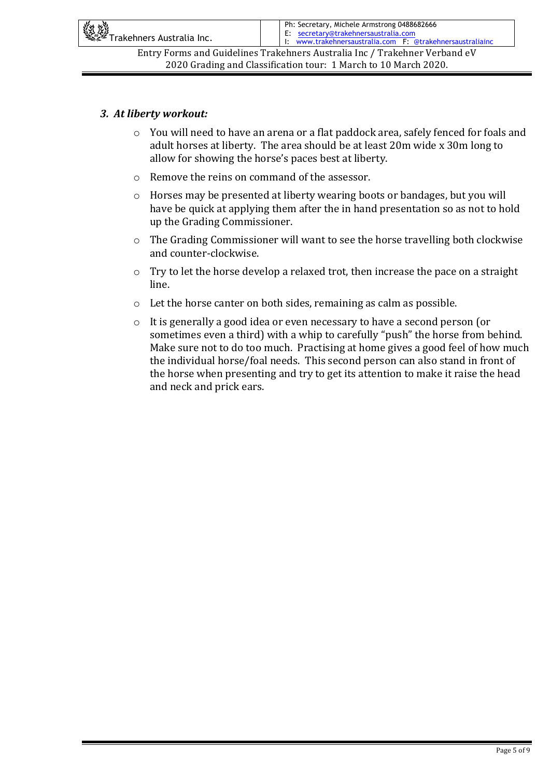| 《红燈<br>《经》Trakehners Australia Inc.                                        | Ph: Secretary, Michele Armstrong 0488682666<br>E: secretary@trakehnersaustralia.com<br>I: www.trakehnersaustralia.com F: @trakehnersaustraliainc |
|----------------------------------------------------------------------------|--------------------------------------------------------------------------------------------------------------------------------------------------|
| Entry Forms and Guidelines Trakehners Australia Inc / Trakehner Verband eV |                                                                                                                                                  |
| 2020 Grading and Classification tour: 1 March to 10 March 2020.            |                                                                                                                                                  |

#### *3. At liberty workout:*

- o You will need to have an arena or a flat paddock area, safely fenced for foals and adult horses at liberty. The area should be at least 20m wide x 30m long to allow for showing the horse's paces best at liberty.
- $\circ$  Remove the reins on command of the assessor.
- $\circ$  Horses may be presented at liberty wearing boots or bandages, but you will have be quick at applying them after the in hand presentation so as not to hold up the Grading Commissioner.
- $\circ$  The Grading Commissioner will want to see the horse travelling both clockwise and counter-clockwise.
- $\circ$  Try to let the horse develop a relaxed trot, then increase the pace on a straight line.
- $\circ$  Let the horse canter on both sides, remaining as calm as possible.
- o It is generally a good idea or even necessary to have a second person (or sometimes even a third) with a whip to carefully "push" the horse from behind. Make sure not to do too much. Practising at home gives a good feel of how much the individual horse/foal needs. This second person can also stand in front of the horse when presenting and try to get its attention to make it raise the head and neck and prick ears.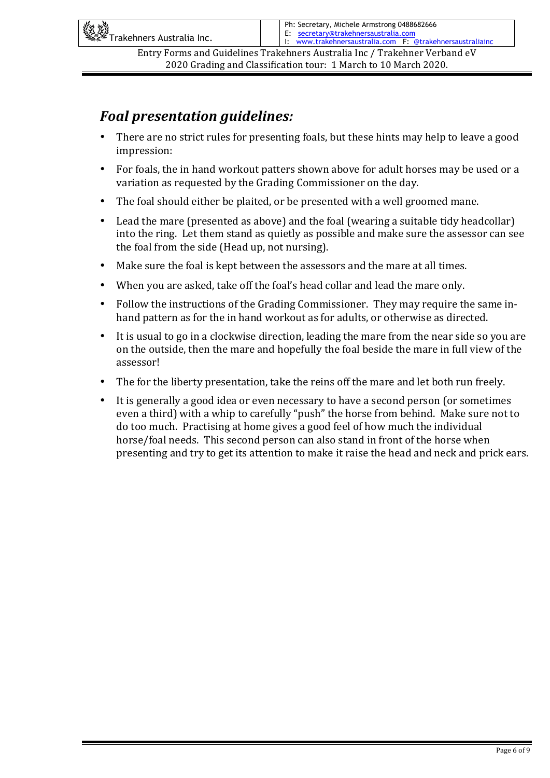| 《红燈》<br>《经》Trakehners Australia Inc. | Ph: Secretary, Michele Armstrong 0488682666<br>E: secretary@trakehnersaustralia.com<br>I: www.trakehnersaustralia.com F: @trakehnersaustraliainc |
|--------------------------------------|--------------------------------------------------------------------------------------------------------------------------------------------------|
|                                      | Entry Forms and Guidelines Trakehners Australia Inc / Trakehner Verband eV                                                                       |

## *Foal presentation quidelines:*

- There are no strict rules for presenting foals, but these hints may help to leave a good impression:
- For foals, the in hand workout patters shown above for adult horses may be used or a variation as requested by the Grading Commissioner on the day.
- The foal should either be plaited, or be presented with a well groomed mane.
- Lead the mare (presented as above) and the foal (wearing a suitable tidy headcollar) into the ring. Let them stand as quietly as possible and make sure the assessor can see the foal from the side (Head up, not nursing).
- Make sure the foal is kept between the assessors and the mare at all times.
- When you are asked, take off the foal's head collar and lead the mare only.
- Follow the instructions of the Grading Commissioner. They may require the same inhand pattern as for the in hand workout as for adults, or otherwise as directed.
- It is usual to go in a clockwise direction, leading the mare from the near side so you are on the outside, then the mare and hopefully the foal beside the mare in full view of the assessor!
- The for the liberty presentation, take the reins off the mare and let both run freely.
- It is generally a good idea or even necessary to have a second person (or sometimes even a third) with a whip to carefully "push" the horse from behind. Make sure not to do too much. Practising at home gives a good feel of how much the individual horse/foal needs. This second person can also stand in front of the horse when presenting and try to get its attention to make it raise the head and neck and prick ears.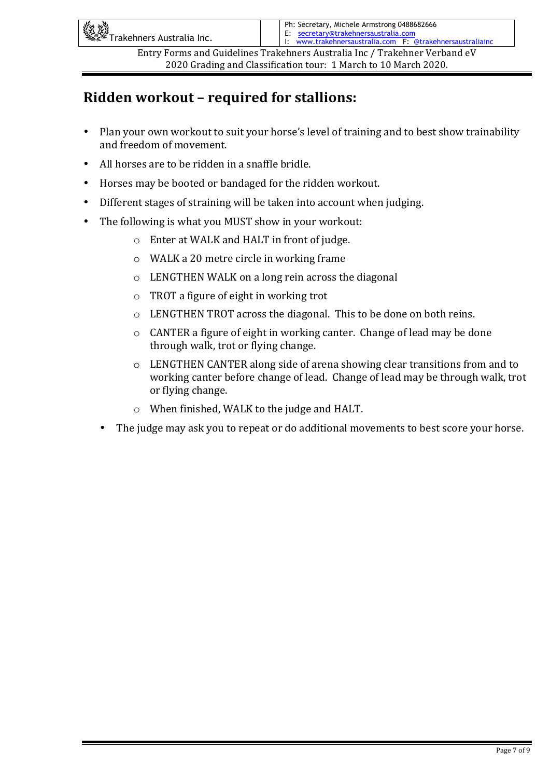| <b>Aritical Strates of the Second Strates Strates Inc.</b><br>Alternative Trakehners Australia Inc. | Ph: Secretary, Michele Armstrong 0488682666<br>E: secretary@trakehnersaustralia.com<br>I: www.trakehnersaustralia.com F: @trakehnersaustraliainc |
|-----------------------------------------------------------------------------------------------------|--------------------------------------------------------------------------------------------------------------------------------------------------|
|                                                                                                     | Entry Forms and Guidelines Trakehners Australia Inc / Trakehner Verband eV                                                                       |

## **Ridden workout - required for stallions:**

- Plan your own workout to suit your horse's level of training and to best show trainability and freedom of movement.
- All horses are to be ridden in a snaffle bridle.
- Horses may be booted or bandaged for the ridden workout.
- Different stages of straining will be taken into account when judging.
- The following is what you MUST show in your workout:
	- $\circ$  Enter at WALK and HALT in front of judge.
	- $\circ$  WALK a 20 metre circle in working frame
	- $\circ$  LENGTHEN WALK on a long rein across the diagonal
	- $\circ$  TROT a figure of eight in working trot
	- $\circ$  LENGTHEN TROT across the diagonal. This to be done on both reins.
	- $\circ$  CANTER a figure of eight in working canter. Change of lead may be done through walk, trot or flying change.
	- $\circ$  LENGTHEN CANTER along side of arena showing clear transitions from and to working canter before change of lead. Change of lead may be through walk, trot or flying change.
	- $\circ$  When finished, WALK to the judge and HALT.
	- The judge may ask you to repeat or do additional movements to best score your horse.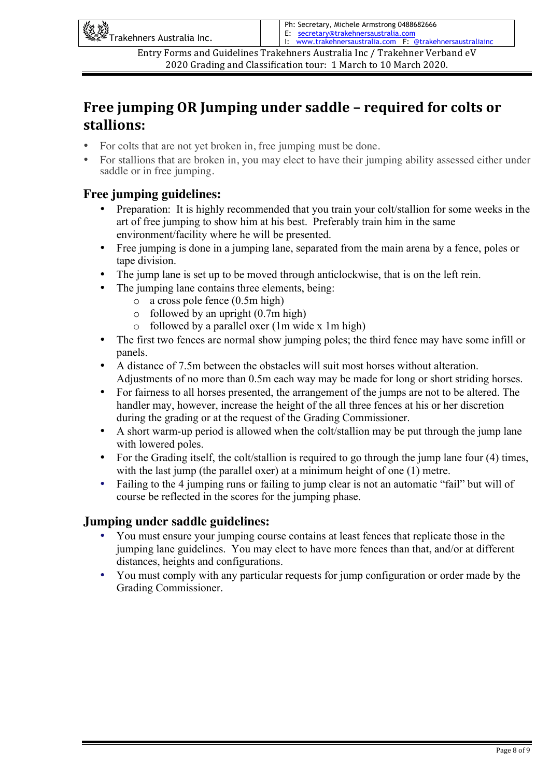| <b>And All Strate Section</b><br>We Trakehners Australia Inc. | Ph: Secretary, Michele Armstrong 0488682666<br>E: secretary@trakehnersaustralia.com<br>I: www.trakehnersaustralia.com F: @trakehnersaustraliainc |
|---------------------------------------------------------------|--------------------------------------------------------------------------------------------------------------------------------------------------|
|                                                               | Entry Forms and Guidelines Trakehners Australia Inc / Trakehner Verband eV                                                                       |

### **Free jumping OR Jumping under saddle – required for colts or** stallions:

- For colts that are not yet broken in, free jumping must be done.
- For stallions that are broken in, you may elect to have their jumping ability assessed either under saddle or in free jumping.

#### **Free jumping guidelines:**

- Preparation: It is highly recommended that you train your colt/stallion for some weeks in the art of free jumping to show him at his best. Preferably train him in the same environment/facility where he will be presented.
- Free jumping is done in a jumping lane, separated from the main arena by a fence, poles or tape division.
- The jump lane is set up to be moved through anticlockwise, that is on the left rein.
	- The jumping lane contains three elements, being:
		- o a cross pole fence (0.5m high)
		- $\circ$  followed by an upright (0.7m high)
		- o followed by a parallel oxer (1m wide x 1m high)
- The first two fences are normal show jumping poles; the third fence may have some infill or panels.
- A distance of 7.5m between the obstacles will suit most horses without alteration. Adjustments of no more than 0.5m each way may be made for long or short striding horses.
- For fairness to all horses presented, the arrangement of the jumps are not to be altered. The handler may, however, increase the height of the all three fences at his or her discretion during the grading or at the request of the Grading Commissioner.
- A short warm-up period is allowed when the colt/stallion may be put through the jump lane with lowered poles.
- For the Grading itself, the colt/stallion is required to go through the jump lane four (4) times, with the last jump (the parallel oxer) at a minimum height of one (1) metre.
- Failing to the 4 jumping runs or failing to jump clear is not an automatic "fail" but will of course be reflected in the scores for the jumping phase.

#### **Jumping under saddle guidelines:**

- You must ensure your jumping course contains at least fences that replicate those in the jumping lane guidelines. You may elect to have more fences than that, and/or at different distances, heights and configurations.
- You must comply with any particular requests for jump configuration or order made by the Grading Commissioner.